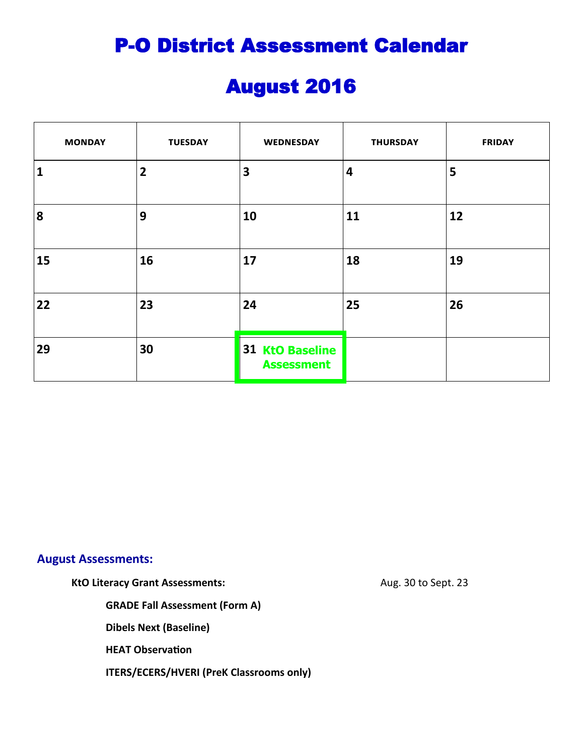# August 2016

| <b>MONDAY</b> | <b>TUESDAY</b> | WEDNESDAY                                   | <b>THURSDAY</b> | <b>FRIDAY</b> |
|---------------|----------------|---------------------------------------------|-----------------|---------------|
| 1             | $\overline{2}$ | $\overline{\mathbf{3}}$                     | 4               | 5             |
| 8             | 9              | 10                                          | 11              | 12            |
| 15            | <b>16</b>      | 17                                          | 18              | 19            |
| 22            | 23             | 24                                          | 25              | 26            |
| 29            | 30             | <b>31 KtO Baseline</b><br><b>Assessment</b> |                 |               |

#### **August Assessments:**

KtO Literacy Grant Assessments: Aug. 30 to Sept. 23

**GRADE Fall Assessment (Form A)**

**Dibels Next (Baseline)**

**HEAT Observation**

**ITERS/ECERS/HVERI (PreK Classrooms only)**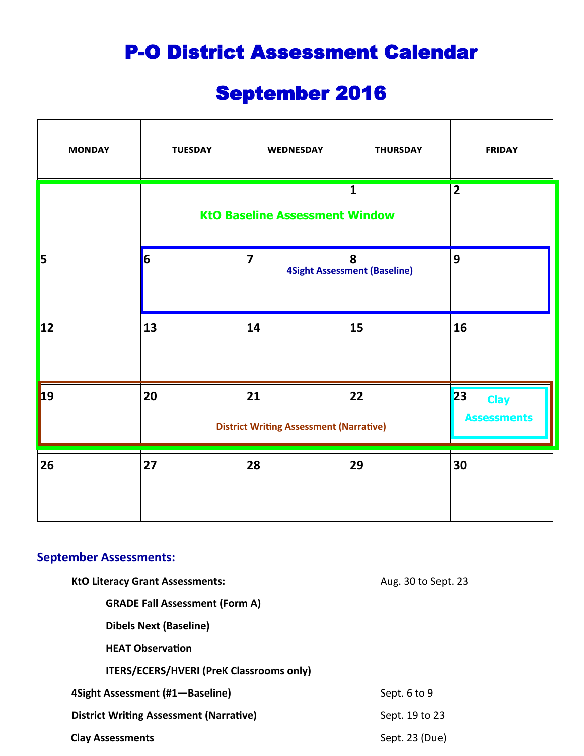# September 2016

| <b>MONDAY</b> | <b>TUESDAY</b> | WEDNESDAY                                            | <b>THURSDAY</b>                          | <b>FRIDAY</b>                           |
|---------------|----------------|------------------------------------------------------|------------------------------------------|-----------------------------------------|
|               |                | <b>KtO Baseline Assessment Window</b>                | $\overline{\mathbf{1}}$                  | $\overline{2}$                          |
| 5             | $\overline{6}$ | $\overline{7}$                                       | 8<br><b>4Sight Assessment (Baseline)</b> | 9                                       |
| <b>12</b>     | 13             | 14                                                   | 15                                       | 16                                      |
| $\vert$ 19    | 20             | 21<br><b>District Writing Assessment (Narrative)</b> | 22                                       | 23<br><b>Clay</b><br><b>Assessments</b> |
| 26            | 27             | 28                                                   | 29                                       | 30                                      |

#### **September Assessments:**

| <b>KtO Literacy Grant Assessments:</b>          | Aug. 30 to Sept. 23 |
|-------------------------------------------------|---------------------|
| <b>GRADE Fall Assessment (Form A)</b>           |                     |
| <b>Dibels Next (Baseline)</b>                   |                     |
| <b>HEAT Observation</b>                         |                     |
| <b>ITERS/ECERS/HVERI (PreK Classrooms only)</b> |                     |
| 4Sight Assessment (#1-Baseline)                 | Sept. 6 to 9        |
| <b>District Writing Assessment (Narrative)</b>  | Sept. 19 to 23      |
| <b>Clay Assessments</b>                         | Sept. 23 (Due)      |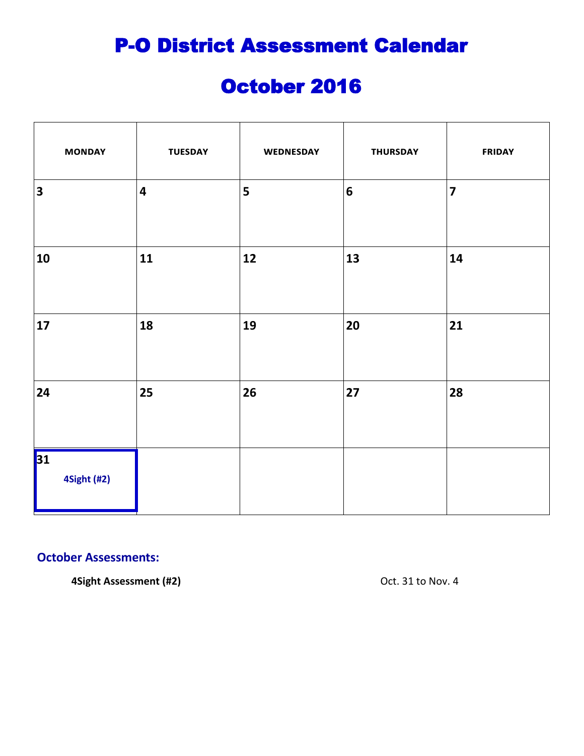## October 2016

| <b>MONDAY</b>           | <b>TUESDAY</b>          | WEDNESDAY | <b>THURSDAY</b>  | <b>FRIDAY</b>           |
|-------------------------|-------------------------|-----------|------------------|-------------------------|
| $\overline{\mathbf{3}}$ | $\overline{\mathbf{4}}$ | 5         | $\boldsymbol{6}$ | $\overline{\mathbf{z}}$ |
| 10                      | 11                      | $12$      | 13               | 14                      |
| 17                      | 18                      | 19        | 20               | 21                      |
| 24                      | 25                      | 26        | 27               | 28                      |
| 31<br>4Sight (#2)       |                         |           |                  |                         |

#### **October Assessments:**

**4Sight Assessment (#2) CDENTIFY CONTENT CONTENT OCT.** 31 to Nov. 4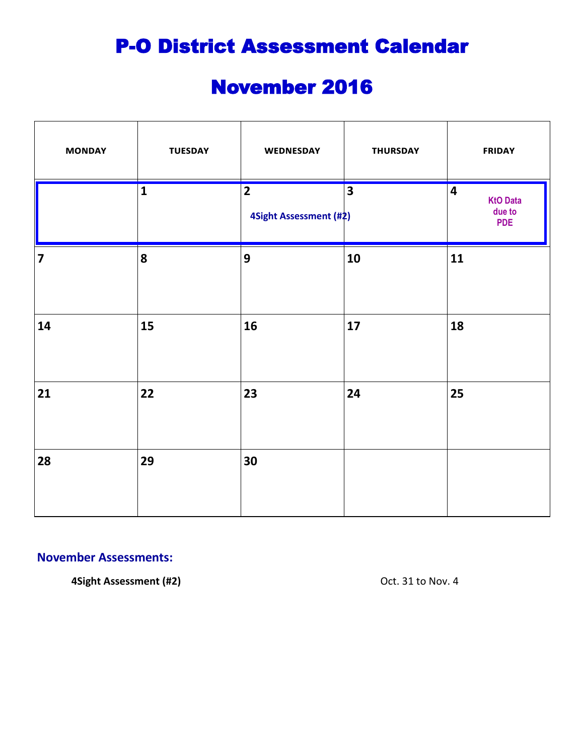# November 2016

| <b>MONDAY</b>           | <b>TUESDAY</b>          | WEDNESDAY                                | <b>THURSDAY</b>         | <b>FRIDAY</b>                                                      |
|-------------------------|-------------------------|------------------------------------------|-------------------------|--------------------------------------------------------------------|
|                         | $\overline{\mathbf{1}}$ | $\overline{2}$<br>4Sight Assessment (#2) | $\overline{\mathbf{3}}$ | $\overline{\mathbf{4}}$<br><b>KtO Data</b><br>due to<br><b>PDE</b> |
| $\overline{\mathbf{z}}$ | 8                       | $\overline{9}$                           | 10                      | 11                                                                 |
| 14                      | 15                      | 16                                       | 17                      | 18                                                                 |
| 21                      | 22                      | 23                                       | 24                      | 25                                                                 |
| 28                      | 29                      | 30                                       |                         |                                                                    |

#### **November Assessments:**

**4Sight Assessment (#2) CDENTIFY CONTROLLER ASSESSMENT (#2)** Oct. 31 to Nov. 4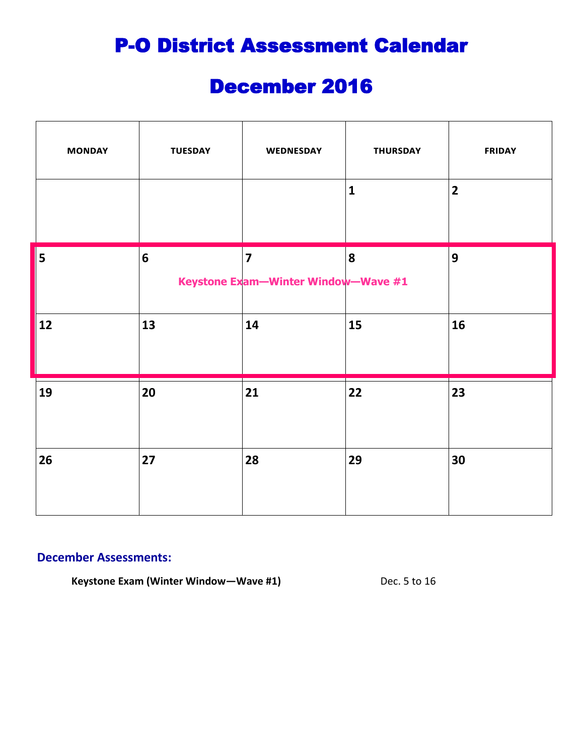### December 2016

| <b>MONDAY</b> | <b>TUESDAY</b> | WEDNESDAY                                                      | <b>THURSDAY</b> | <b>FRIDAY</b>  |
|---------------|----------------|----------------------------------------------------------------|-----------------|----------------|
|               |                |                                                                | $\mathbf{1}$    | $\overline{2}$ |
| 5             | 6              | $\overline{\mathbf{z}}$<br>Keystone Exam-Winter Window-Wave #1 | 8               | 9              |
| 12            | 13             | 14                                                             | 15              | 16             |
| 19            | 20             | 21                                                             | 22              | 23             |
| 26            | 27             | 28                                                             | 29              | 30             |

#### **December Assessments:**

**Keystone Exam (Winter Window—Wave #1)** Dec. 5 to 16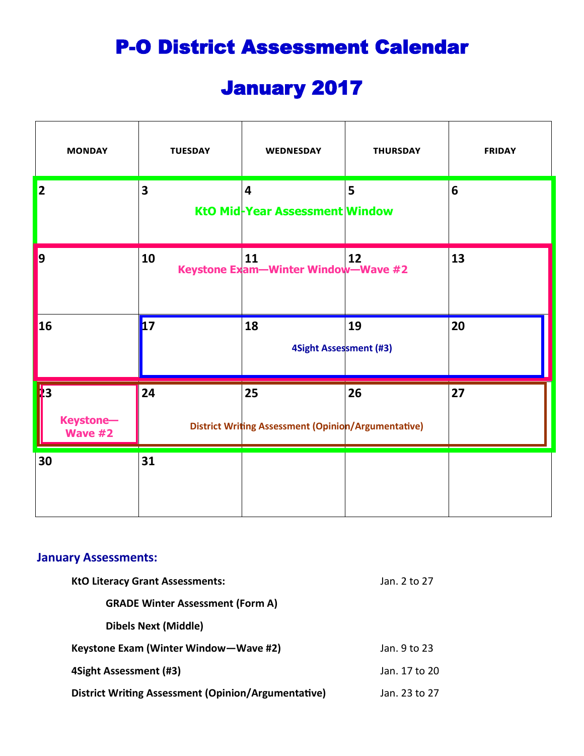# January 2017

| <b>MONDAY</b>                                    | <b>TUESDAY</b> | <b>WEDNESDAY</b>                                                 | <b>THURSDAY</b> | <b>FRIDAY</b>   |
|--------------------------------------------------|----------------|------------------------------------------------------------------|-----------------|-----------------|
| $\vert$ 2                                        | 3              | $\overline{\mathbf{4}}$<br>KtO Mid-Year Assessment Window        | 5               | $6\phantom{1}6$ |
| $\vert$ 9                                        | 10             | 11<br>Keystone Exam-Winter Window-Wave #2                        | 12              | 13              |
| <b>16</b>                                        | $\mathbf{17}$  | 18<br>4Sight Assessment (#3)                                     | 19              | 20              |
| $\sqrt{3}$<br><b>Keystone-</b><br><b>Wave #2</b> | 24             | 25<br><b>District Writing Assessment (Opinion/Argumentative)</b> | 26              | 27              |
| 30                                               | 31             |                                                                  |                 |                 |

#### **January Assessments:**

| <b>KtO Literacy Grant Assessments:</b>              | Jan. 2 to 27  |
|-----------------------------------------------------|---------------|
| <b>GRADE Winter Assessment (Form A)</b>             |               |
| <b>Dibels Next (Middle)</b>                         |               |
| Keystone Exam (Winter Window-Wave #2)               | Jan. 9 to 23  |
| 4Sight Assessment (#3)                              | Jan. 17 to 20 |
| District Writing Assessment (Opinion/Argumentative) | Jan. 23 to 27 |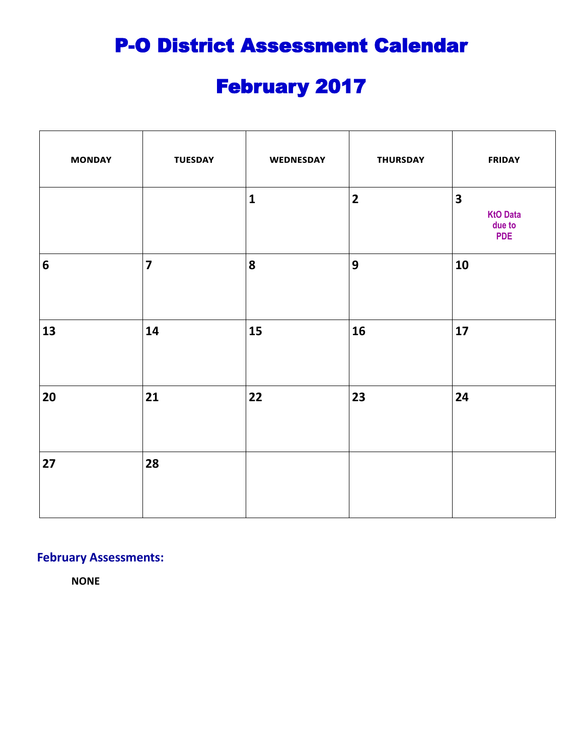# February 2017

| <b>MONDAY</b>    | <b>TUESDAY</b>          | WEDNESDAY    | <b>THURSDAY</b>         | <b>FRIDAY</b>                                                      |
|------------------|-------------------------|--------------|-------------------------|--------------------------------------------------------------------|
|                  |                         | $\mathbf{1}$ | $\overline{\mathbf{2}}$ | $\overline{\mathbf{3}}$<br><b>KtO Data</b><br>due to<br><b>PDE</b> |
| $\boldsymbol{6}$ | $\overline{\mathbf{z}}$ | 8            | $\mathbf{9}$            | 10                                                                 |
| 13               | 14                      | 15           | 16                      | 17                                                                 |
| 20               | 21                      | 22           | 23                      | 24                                                                 |
| 27               | 28                      |              |                         |                                                                    |

#### **February Assessments:**

**NONE**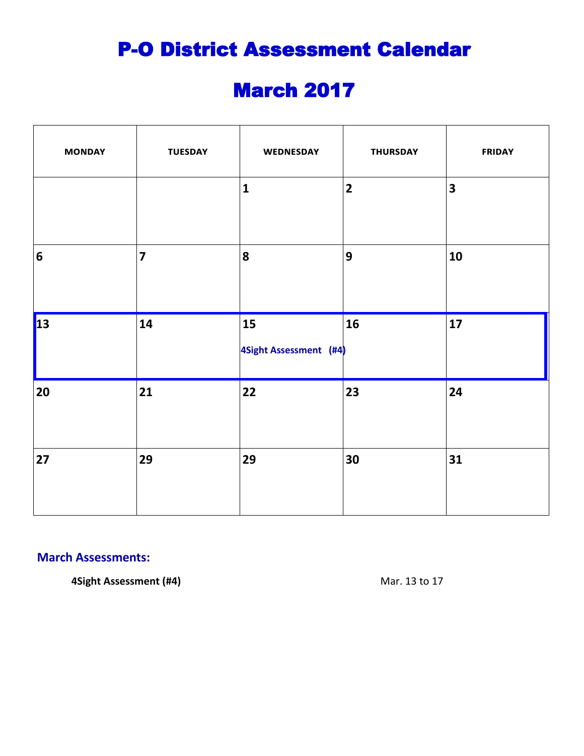# March 2017

| <b>MONDAY</b>  | <b>TUESDAY</b>          | WEDNESDAY                    | <b>THURSDAY</b>         | <b>FRIDAY</b>           |
|----------------|-------------------------|------------------------------|-------------------------|-------------------------|
|                |                         | $\mathbf{1}$                 | $\overline{\mathbf{2}}$ | $\overline{\mathbf{3}}$ |
| $6\phantom{1}$ | $\overline{\mathbf{z}}$ | 8                            | $\mathbf{9}$            | 10                      |
| $\vert$ 13     | 14                      | 15<br>4Sight Assessment (#4) | 16                      | 17                      |
| 20             | 21                      | 22                           | 23                      | 24                      |
| 27             | 29                      | 29                           | 30                      | 31                      |

#### **March Assessments:**

**4Sight Assessment (#4)** Mar. 13 to 17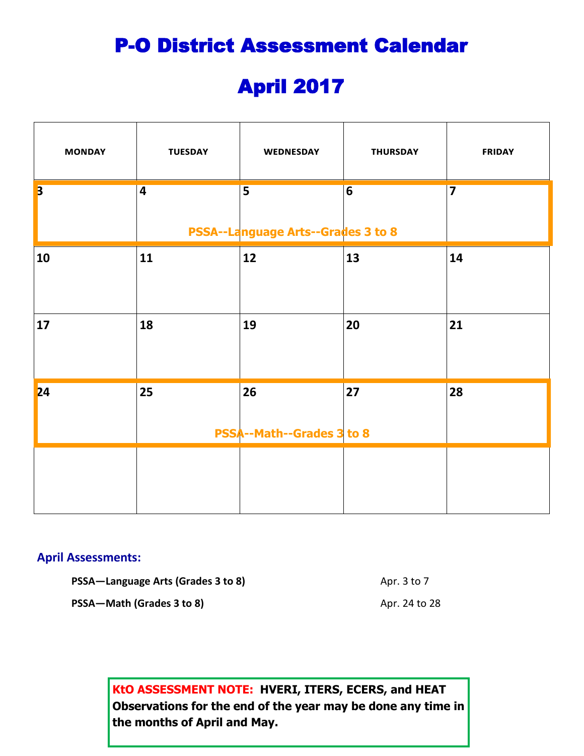# April 2017

| <b>MONDAY</b>           | <b>TUESDAY</b> | WEDNESDAY                                                            | <b>THURSDAY</b> | <b>FRIDAY</b>           |
|-------------------------|----------------|----------------------------------------------------------------------|-----------------|-------------------------|
| $\overline{\mathbf{3}}$ | $\overline{4}$ | $\overline{\mathbf{5}}$<br><b>PSSA--Language Arts--Grades 3 to 8</b> | $\overline{6}$  | $\overline{\mathbf{z}}$ |
| 10                      | 11             | 12                                                                   | 13              | 14                      |
| 17                      | 18             | 19                                                                   | 20              | 21                      |
| 24                      | 25             | 26<br><b>PSSA--Math--Grades 3 to 8</b>                               | 27              | 28                      |
|                         |                |                                                                      |                 |                         |

#### **April Assessments:**

**PSSA—Language Arts (Grades 3 to 8)** Apr. 3 to 7 **PSSA—Math (Grades 3 to 8)** Apr. 24 to 28

> **KtO ASSESSMENT NOTE: HVERI, ITERS, ECERS, and HEAT Observations for the end of the year may be done any time in the months of April and May.**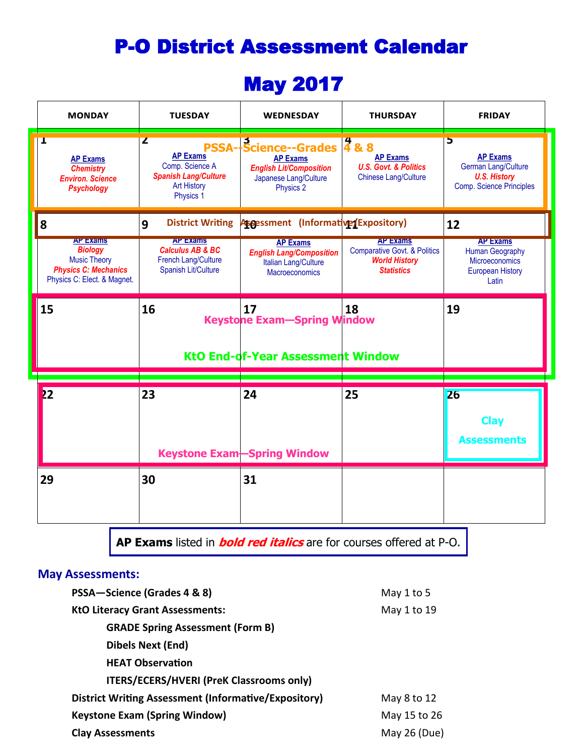### May 2017

| <b>MONDAY</b>                                                                                                          | <b>TUESDAY</b>                                                                                            | <b>WEDNESDAY</b>                                                                                                       | <b>THURSDAY</b>                                                                                         | <b>FRIDAY</b>                                                                                                |
|------------------------------------------------------------------------------------------------------------------------|-----------------------------------------------------------------------------------------------------------|------------------------------------------------------------------------------------------------------------------------|---------------------------------------------------------------------------------------------------------|--------------------------------------------------------------------------------------------------------------|
| T<br><b>AP Exams</b><br><b>Chemistry</b><br><b>Environ. Science</b><br><b>Psychology</b>                               | Z<br><b>AP Exams</b><br>Comp. Science A<br><b>Spanish Lang/Culture</b><br><b>Art History</b><br>Physics 1 | <b>PSSA-Science--Grades</b><br><b>AP Exams</b><br><b>English Lit/Composition</b><br>Japanese Lang/Culture<br>Physics 2 | 488<br><b>AP Exams</b><br><b>U.S. Govt. &amp; Politics</b><br><b>Chinese Lang/Culture</b>               | 5<br><b>AP Exams</b><br><b>German Lang/Culture</b><br><b>U.S. History</b><br><b>Comp. Science Principles</b> |
| 8                                                                                                                      | <b>District Writing</b><br>9                                                                              | Assessment (Informative/Expository)                                                                                    |                                                                                                         | 12                                                                                                           |
| <b>AP Exams</b><br><b>Biology</b><br><b>Music Theory</b><br><b>Physics C: Mechanics</b><br>Physics C: Elect. & Magnet. | <b>AP Exams</b><br><b>Calculus AB &amp; BC</b><br>French Lang/Culture<br>Spanish Lit/Culture              | <b>AP Exams</b><br><b>English Lang/Composition</b><br>Italian Lang/Culture<br><b>Macroeconomics</b>                    | <b>AP Exams</b><br><b>Comparative Govt. &amp; Politics</b><br><b>World History</b><br><b>Statistics</b> | <b>AP Exams</b><br><b>Human Geography</b><br>Microeconomics<br><b>European History</b><br>Latin              |
| 15                                                                                                                     | 16                                                                                                        | 17                                                                                                                     |                                                                                                         |                                                                                                              |
|                                                                                                                        |                                                                                                           | <b>Keystone Exam-Spring Window</b>                                                                                     | 18                                                                                                      | 19                                                                                                           |
|                                                                                                                        |                                                                                                           | <b>KtO End-of-Year Assessment Window</b>                                                                               |                                                                                                         |                                                                                                              |
| 22                                                                                                                     | 23                                                                                                        | 24                                                                                                                     | 25                                                                                                      | <b>26</b>                                                                                                    |
|                                                                                                                        |                                                                                                           | <b>Keystone Exam-Spring Window</b>                                                                                     |                                                                                                         | <b>Clay</b><br><b>Assessments</b>                                                                            |

**AP Exams** listed in **bold red italics** are for courses offered at P-O.

#### **May Assessments:**

| PSSA-Science (Grades 4 & 8)                                 | May 1 to 5   |
|-------------------------------------------------------------|--------------|
| <b>KtO Literacy Grant Assessments:</b>                      | May 1 to 19  |
| <b>GRADE Spring Assessment (Form B)</b>                     |              |
| <b>Dibels Next (End)</b>                                    |              |
| <b>HEAT Observation</b>                                     |              |
| <b>ITERS/ECERS/HVERI (PreK Classrooms only)</b>             |              |
| <b>District Writing Assessment (Informative/Expository)</b> | May 8 to 12  |
| <b>Keystone Exam (Spring Window)</b>                        | May 15 to 26 |
| <b>Clay Assessments</b>                                     | May 26 (Due) |